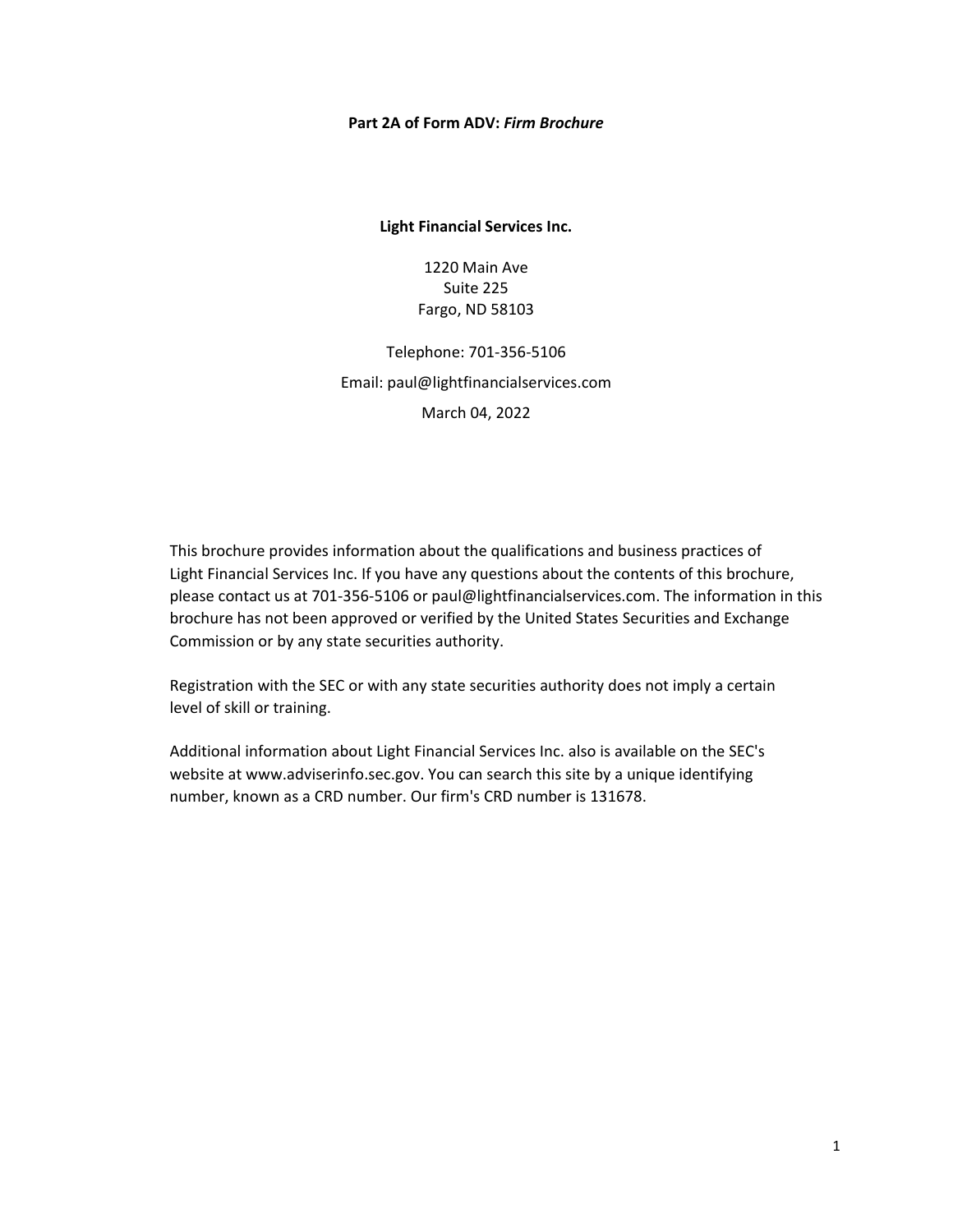#### **Part 2A of Form ADV:** *Firm Brochure*

**Light Financial Services Inc.**

1220 Main Ave Suite 225 Fargo, ND 58103

Telephone: 701-356-5106 Email: [paul@lightfinancialservices.com](mailto:paul@lightfinancialservices.com) March 04, 2022

This brochure provides information about the qualifications and business practices of Light Financial Services Inc. If you have any questions about the contents of this brochure, please contact us at 701-356-5106 or [paul@lightfinancialservices.com.](mailto:paul@lightfinancialservices.com) The information in this brochure has not been approved or verified by the United States Securities and Exchange Commission or by any state securities authority.

Registration with the SEC or with any state securities authority does not imply a certain level of skill or training.

Additional information about Light Financial Services Inc. also is available on the SEC's website at [www.adviserinfo.sec.gov.](http://www.adviserinfo.sec.gov/) You can search this site by a unique identifying number, known as a CRD number. Our firm's CRD number is 131678.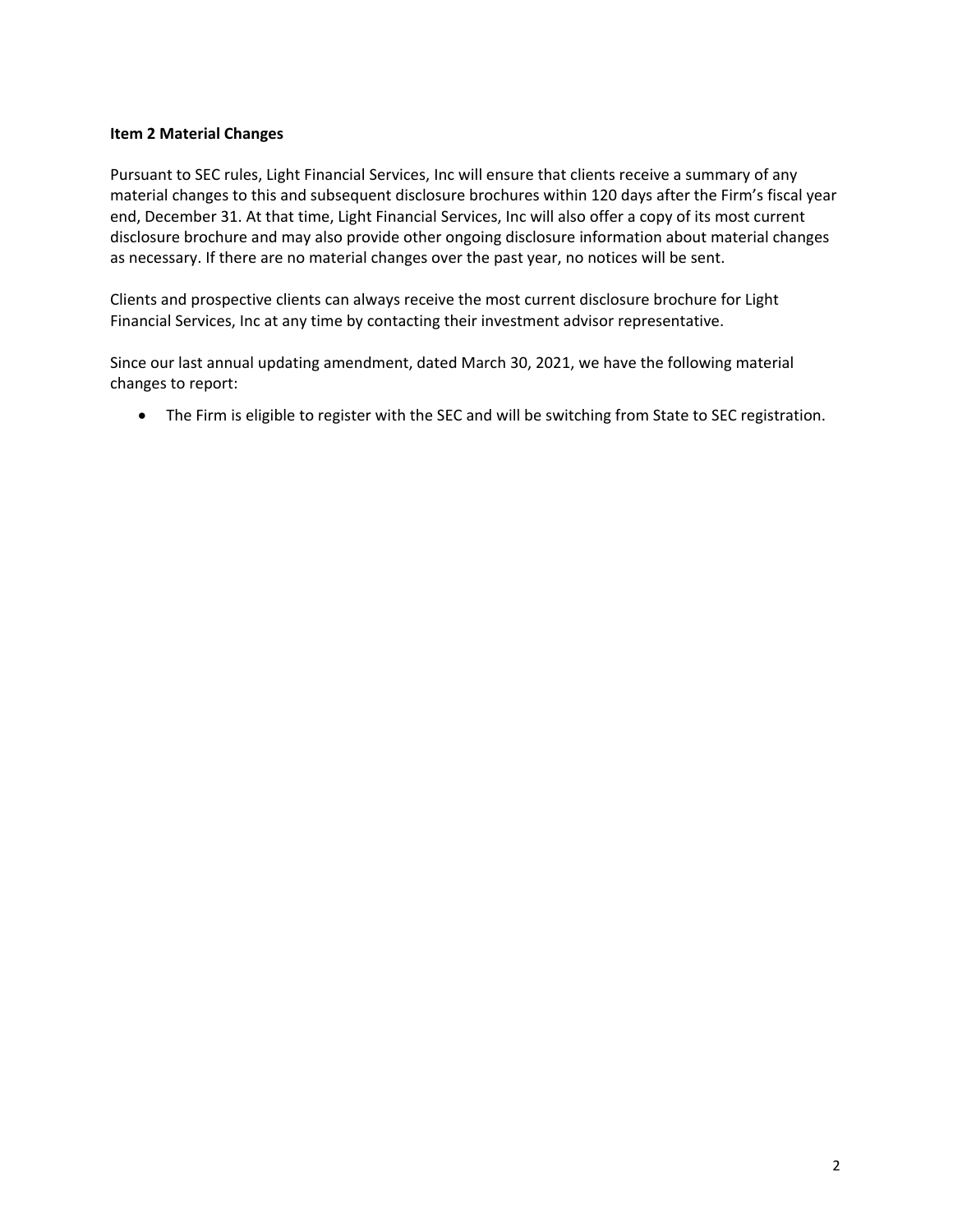## <span id="page-1-0"></span>**Item 2 Material Changes**

Pursuant to SEC rules, Light Financial Services, Inc will ensure that clients receive a summary of any material changes to this and subsequent disclosure brochures within 120 days after the Firm's fiscal year end, December 31. At that time, Light Financial Services, Inc will also offer a copy of its most current disclosure brochure and may also provide other ongoing disclosure information about material changes as necessary. If there are no material changes over the past year, no notices will be sent.

Clients and prospective clients can always receive the most current disclosure brochure for Light Financial Services, Inc at any time by contacting their investment advisor representative.

Since our last annual updating amendment, dated March 30, 2021, we have the following material changes to report:

• The Firm is eligible to register with the SEC and will be switching from State to SEC registration.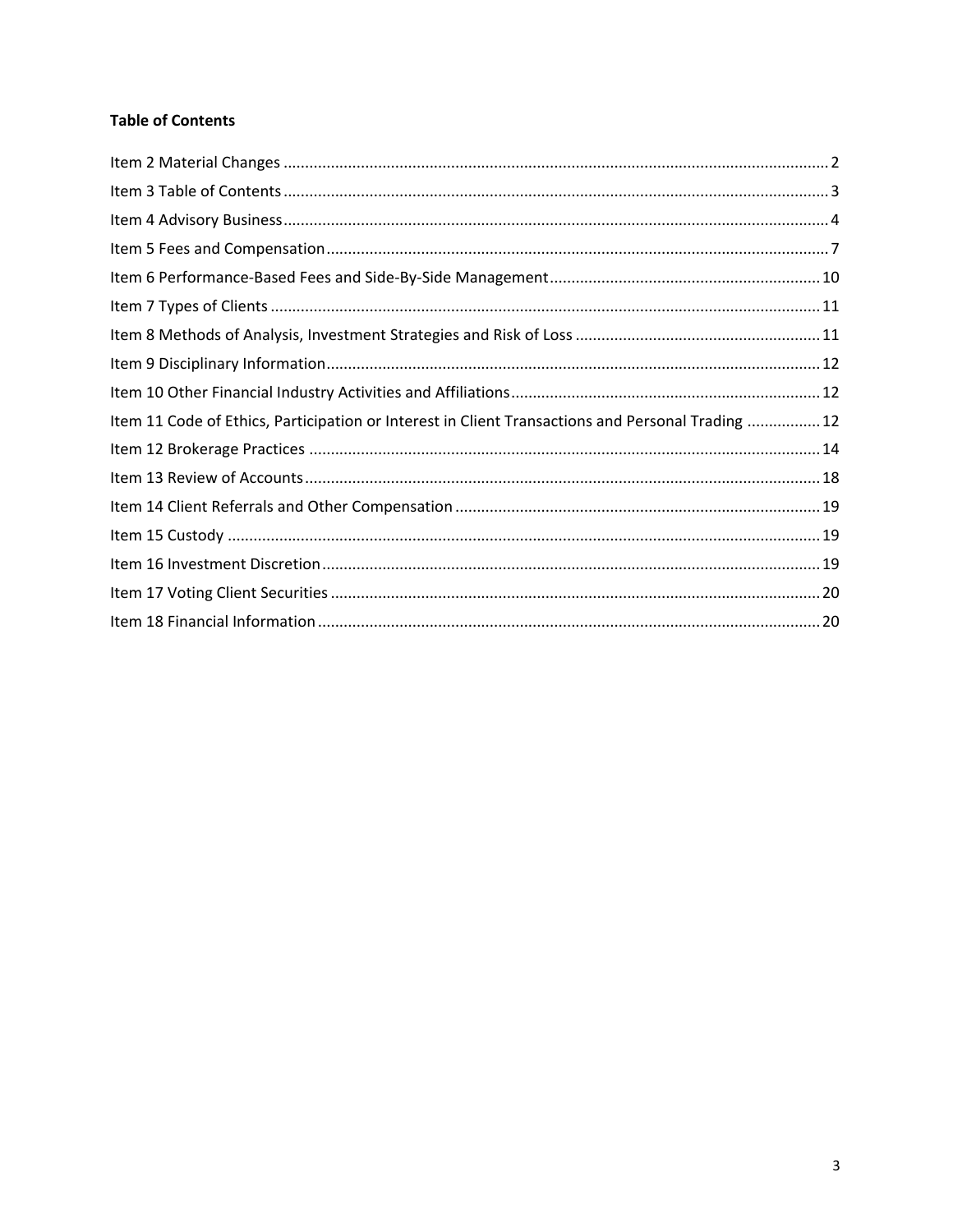# <span id="page-2-0"></span>**Table of Contents**

| Item 11 Code of Ethics, Participation or Interest in Client Transactions and Personal Trading  12 |  |
|---------------------------------------------------------------------------------------------------|--|
|                                                                                                   |  |
|                                                                                                   |  |
|                                                                                                   |  |
|                                                                                                   |  |
|                                                                                                   |  |
|                                                                                                   |  |
|                                                                                                   |  |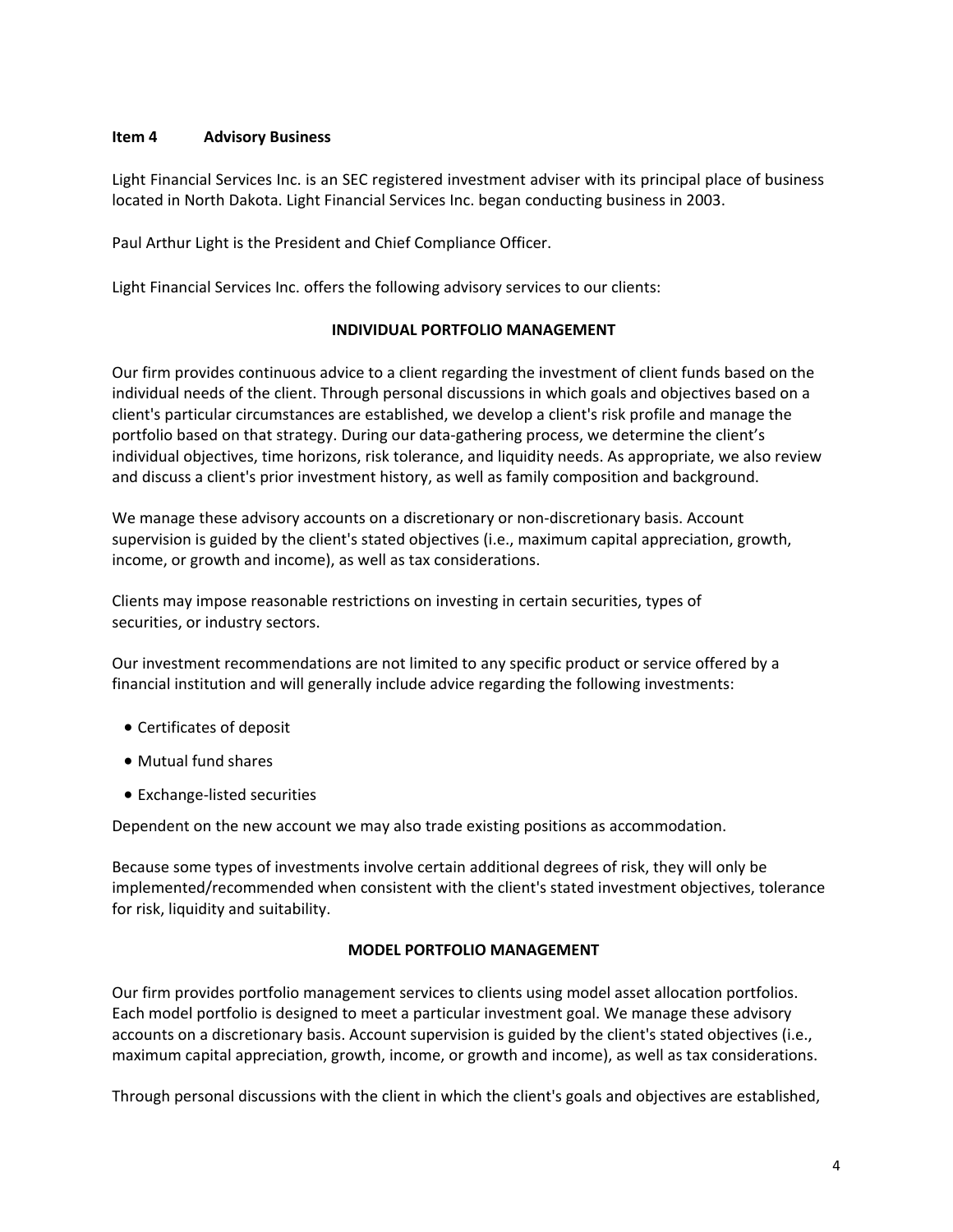## <span id="page-3-0"></span>**Item 4 Advisory Business**

Light Financial Services Inc. is an SEC registered investment adviser with its principal place of business located in North Dakota. Light Financial Services Inc. began conducting business in 2003.

Paul Arthur Light is the President and Chief Compliance Officer.

Light Financial Services Inc. offers the following advisory services to our clients:

## **INDIVIDUAL PORTFOLIO MANAGEMENT**

Our firm provides continuous advice to a client regarding the investment of client funds based on the individual needs of the client. Through personal discussions in which goals and objectives based on a client's particular circumstances are established, we develop a client's risk profile and manage the portfolio based on that strategy. During our data-gathering process, we determine the client's individual objectives, time horizons, risk tolerance, and liquidity needs. As appropriate, we also review and discuss a client's prior investment history, as well as family composition and background.

We manage these advisory accounts on a discretionary or non-discretionary basis. Account supervision is guided by the client's stated objectives (i.e., maximum capital appreciation, growth, income, or growth and income), as well as tax considerations.

Clients may impose reasonable restrictions on investing in certain securities, types of securities, or industry sectors.

Our investment recommendations are not limited to any specific product or service offered by a financial institution and will generally include advice regarding the following investments:

- Certificates of deposit
- Mutual fund shares
- Exchange-listed securities

Dependent on the new account we may also trade existing positions as accommodation.

Because some types of investments involve certain additional degrees of risk, they will only be implemented/recommended when consistent with the client's stated investment objectives, tolerance for risk, liquidity and suitability.

## **MODEL PORTFOLIO MANAGEMENT**

Our firm provides portfolio management services to clients using model asset allocation portfolios. Each model portfolio is designed to meet a particular investment goal. We manage these advisory accounts on a discretionary basis. Account supervision is guided by the client's stated objectives (i.e., maximum capital appreciation, growth, income, or growth and income), as well as tax considerations.

Through personal discussions with the client in which the client's goals and objectives are established,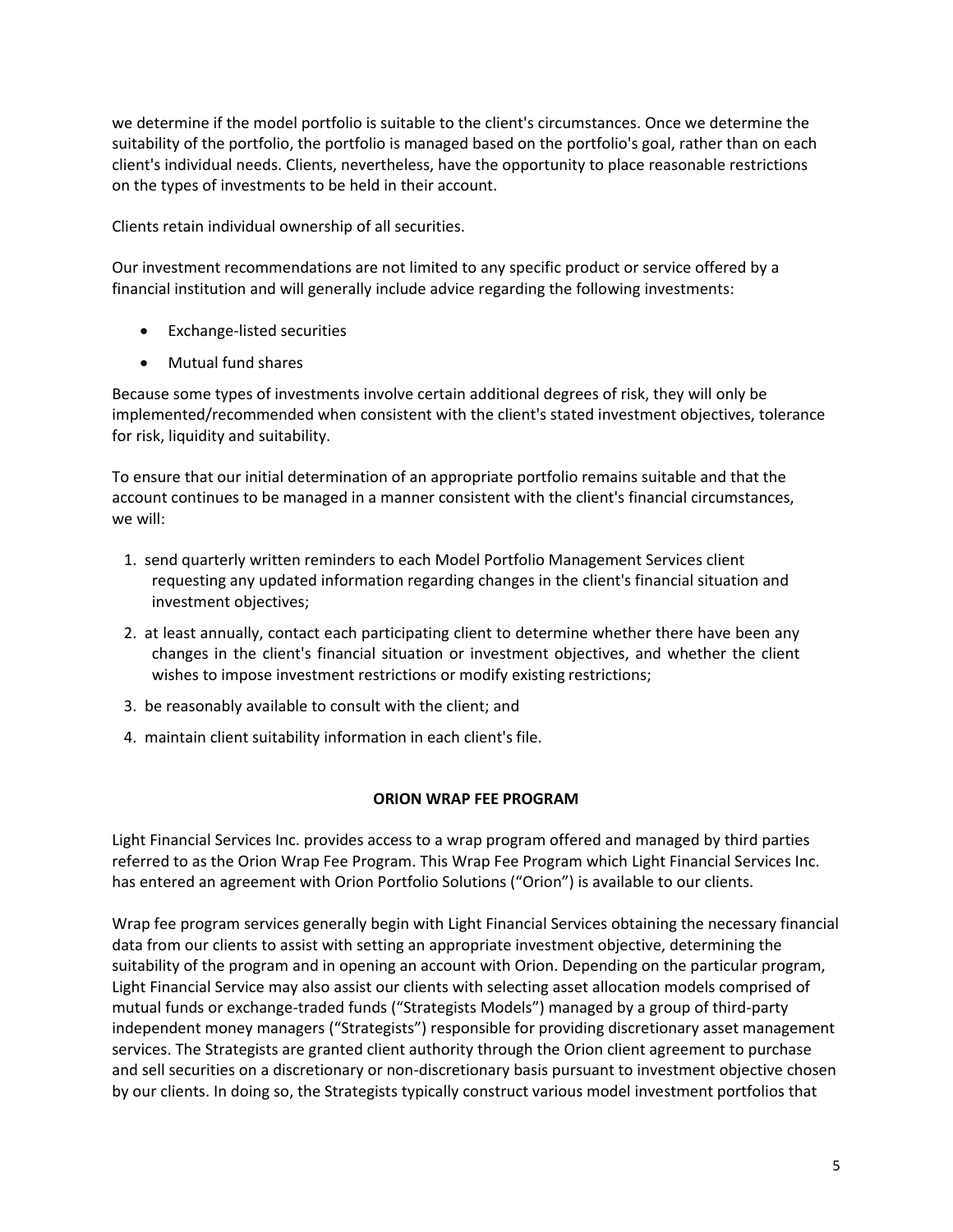we determine if the model portfolio is suitable to the client's circumstances. Once we determine the suitability of the portfolio, the portfolio is managed based on the portfolio's goal, rather than on each client's individual needs. Clients, nevertheless, have the opportunity to place reasonable restrictions on the types of investments to be held in their account.

Clients retain individual ownership of all securities.

Our investment recommendations are not limited to any specific product or service offered by a financial institution and will generally include advice regarding the following investments:

- Exchange-listed securities
- Mutual fund shares

Because some types of investments involve certain additional degrees of risk, they will only be implemented/recommended when consistent with the client's stated investment objectives, tolerance for risk, liquidity and suitability.

To ensure that our initial determination of an appropriate portfolio remains suitable and that the account continues to be managed in a manner consistent with the client's financial circumstances, we will:

- 1. send quarterly written reminders to each Model Portfolio Management Services client requesting any updated information regarding changes in the client's financial situation and investment objectives;
- 2. at least annually, contact each participating client to determine whether there have been any changes in the client's financial situation or investment objectives, and whether the client wishes to impose investment restrictions or modify existing restrictions;
- 3. be reasonably available to consult with the client; and
- 4. maintain client suitability information in each client's file.

## **ORION WRAP FEE PROGRAM**

Light Financial Services Inc. provides access to a wrap program offered and managed by third parties referred to as the Orion Wrap Fee Program. This Wrap Fee Program which Light Financial Services Inc. has entered an agreement with Orion Portfolio Solutions ("Orion") is available to our clients.

Wrap fee program services generally begin with Light Financial Services obtaining the necessary financial data from our clients to assist with setting an appropriate investment objective, determining the suitability of the program and in opening an account with Orion. Depending on the particular program, Light Financial Service may also assist our clients with selecting asset allocation models comprised of mutual funds or exchange-traded funds ("Strategists Models") managed by a group of third-party independent money managers ("Strategists") responsible for providing discretionary asset management services. The Strategists are granted client authority through the Orion client agreement to purchase and sell securities on a discretionary or non-discretionary basis pursuant to investment objective chosen by our clients. In doing so, the Strategists typically construct various model investment portfolios that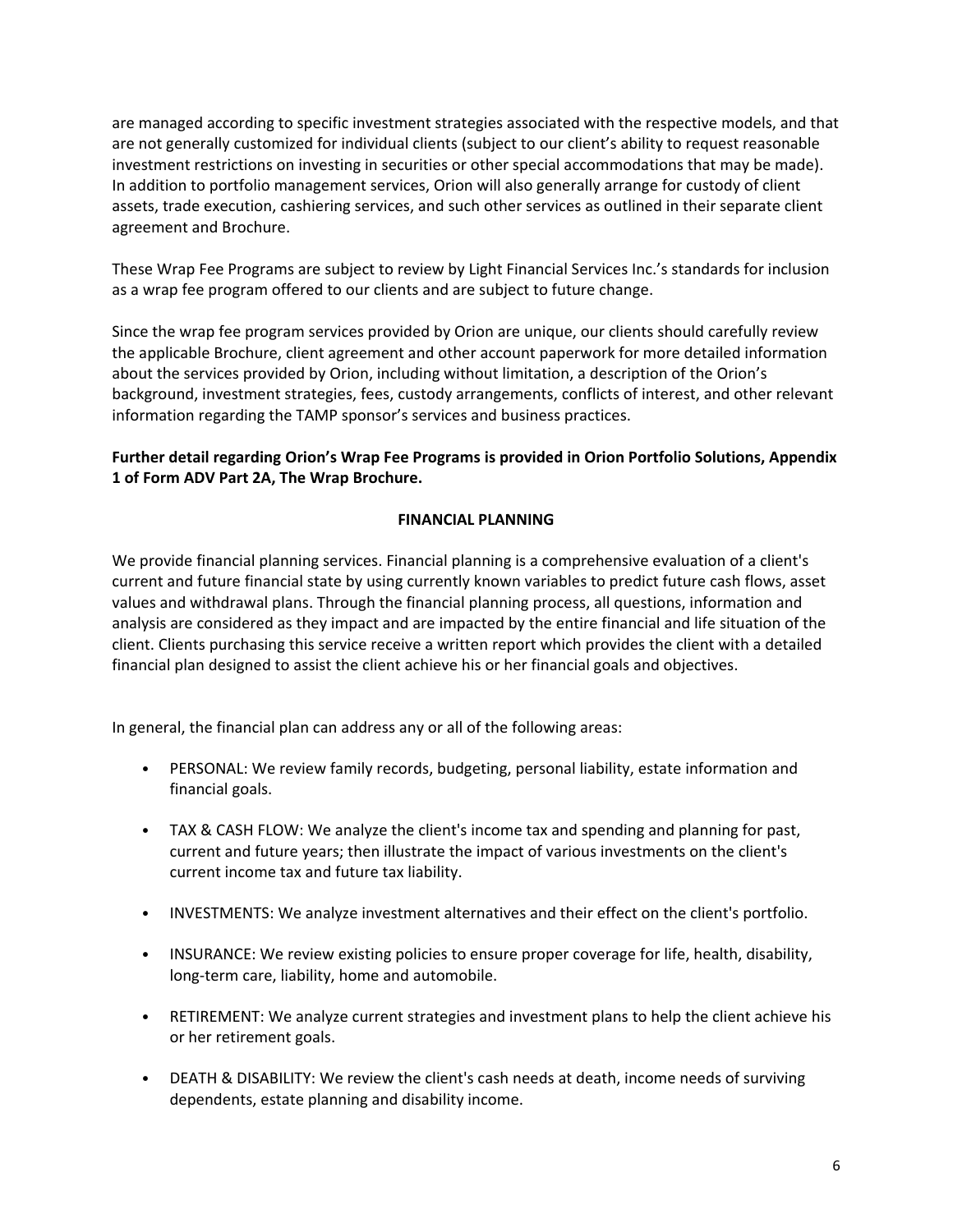are managed according to specific investment strategies associated with the respective models, and that are not generally customized for individual clients (subject to our client's ability to request reasonable investment restrictions on investing in securities or other special accommodations that may be made). In addition to portfolio management services, Orion will also generally arrange for custody of client assets, trade execution, cashiering services, and such other services as outlined in their separate client agreement and Brochure.

These Wrap Fee Programs are subject to review by Light Financial Services Inc.'s standards for inclusion as a wrap fee program offered to our clients and are subject to future change.

Since the wrap fee program services provided by Orion are unique, our clients should carefully review the applicable Brochure, client agreement and other account paperwork for more detailed information about the services provided by Orion, including without limitation, a description of the Orion's background, investment strategies, fees, custody arrangements, conflicts of interest, and other relevant information regarding the TAMP sponsor's services and business practices.

# **Further detail regarding Orion's Wrap Fee Programs is provided in Orion Portfolio Solutions, Appendix 1 of Form ADV Part 2A, The Wrap Brochure.**

## **FINANCIAL PLANNING**

We provide financial planning services. Financial planning is a comprehensive evaluation of a client's current and future financial state by using currently known variables to predict future cash flows, asset values and withdrawal plans. Through the financial planning process, all questions, information and analysis are considered as they impact and are impacted by the entire financial and life situation of the client. Clients purchasing this service receive a written report which provides the client with a detailed financial plan designed to assist the client achieve his or her financial goals and objectives.

In general, the financial plan can address any or all of the following areas:

- PERSONAL: We review family records, budgeting, personal liability, estate information and financial goals.
- TAX & CASH FLOW: We analyze the client's income tax and spending and planning for past, current and future years; then illustrate the impact of various investments on the client's current income tax and future tax liability.
- INVESTMENTS: We analyze investment alternatives and their effect on the client's portfolio.
- INSURANCE: We review existing policies to ensure proper coverage for life, health, disability, long-term care, liability, home and automobile.
- RETIREMENT: We analyze current strategies and investment plans to help the client achieve his or her retirement goals.
- DEATH & DISABILITY: We review the client's cash needs at death, income needs of surviving dependents, estate planning and disability income.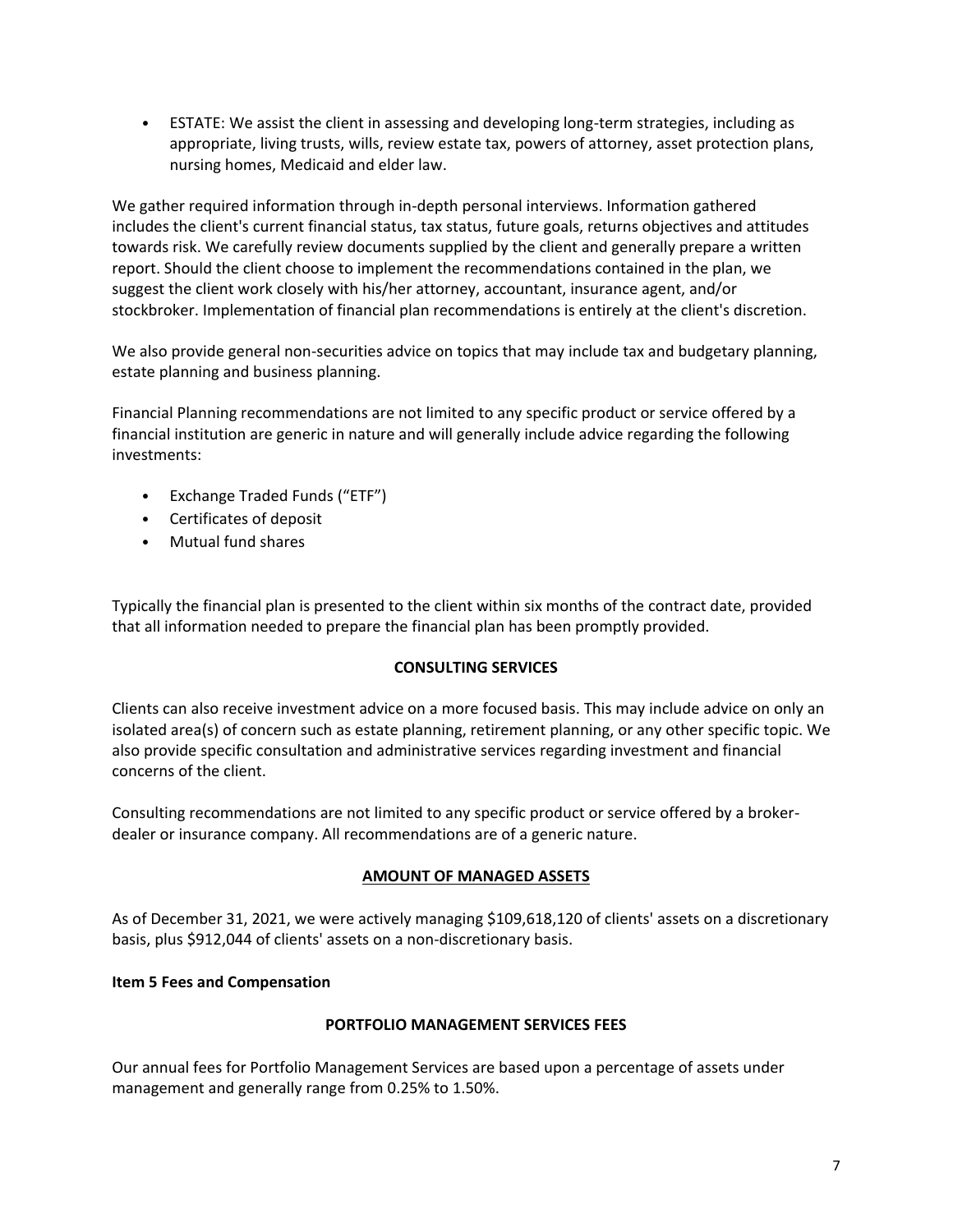• ESTATE: We assist the client in assessing and developing long-term strategies, including as appropriate, living trusts, wills, review estate tax, powers of attorney, asset protection plans, nursing homes, Medicaid and elder law.

We gather required information through in-depth personal interviews. Information gathered includes the client's current financial status, tax status, future goals, returns objectives and attitudes towards risk. We carefully review documents supplied by the client and generally prepare a written report. Should the client choose to implement the recommendations contained in the plan, we suggest the client work closely with his/her attorney, accountant, insurance agent, and/or stockbroker. Implementation of financial plan recommendations is entirely at the client's discretion.

We also provide general non-securities advice on topics that may include tax and budgetary planning, estate planning and business planning.

Financial Planning recommendations are not limited to any specific product or service offered by a financial institution are generic in nature and will generally include advice regarding the following investments:

- Exchange Traded Funds ("ETF")
- Certificates of deposit
- Mutual fund shares

Typically the financial plan is presented to the client within six months of the contract date, provided that all information needed to prepare the financial plan has been promptly provided.

#### **CONSULTING SERVICES**

Clients can also receive investment advice on a more focused basis. This may include advice on only an isolated area(s) of concern such as estate planning, retirement planning, or any other specific topic. We also provide specific consultation and administrative services regarding investment and financial concerns of the client.

Consulting recommendations are not limited to any specific product or service offered by a brokerdealer or insurance company. All recommendations are of a generic nature.

#### **AMOUNT OF MANAGED ASSETS**

As of December 31, 2021, we were actively managing \$109,618,120 of clients' assets on a discretionary basis, plus \$912,044 of clients' assets on a non-discretionary basis.

#### <span id="page-6-0"></span>**Item 5 Fees and Compensation**

#### **PORTFOLIO MANAGEMENT SERVICES FEES**

Our annual fees for Portfolio Management Services are based upon a percentage of assets under management and generally range from 0.25% to 1.50%.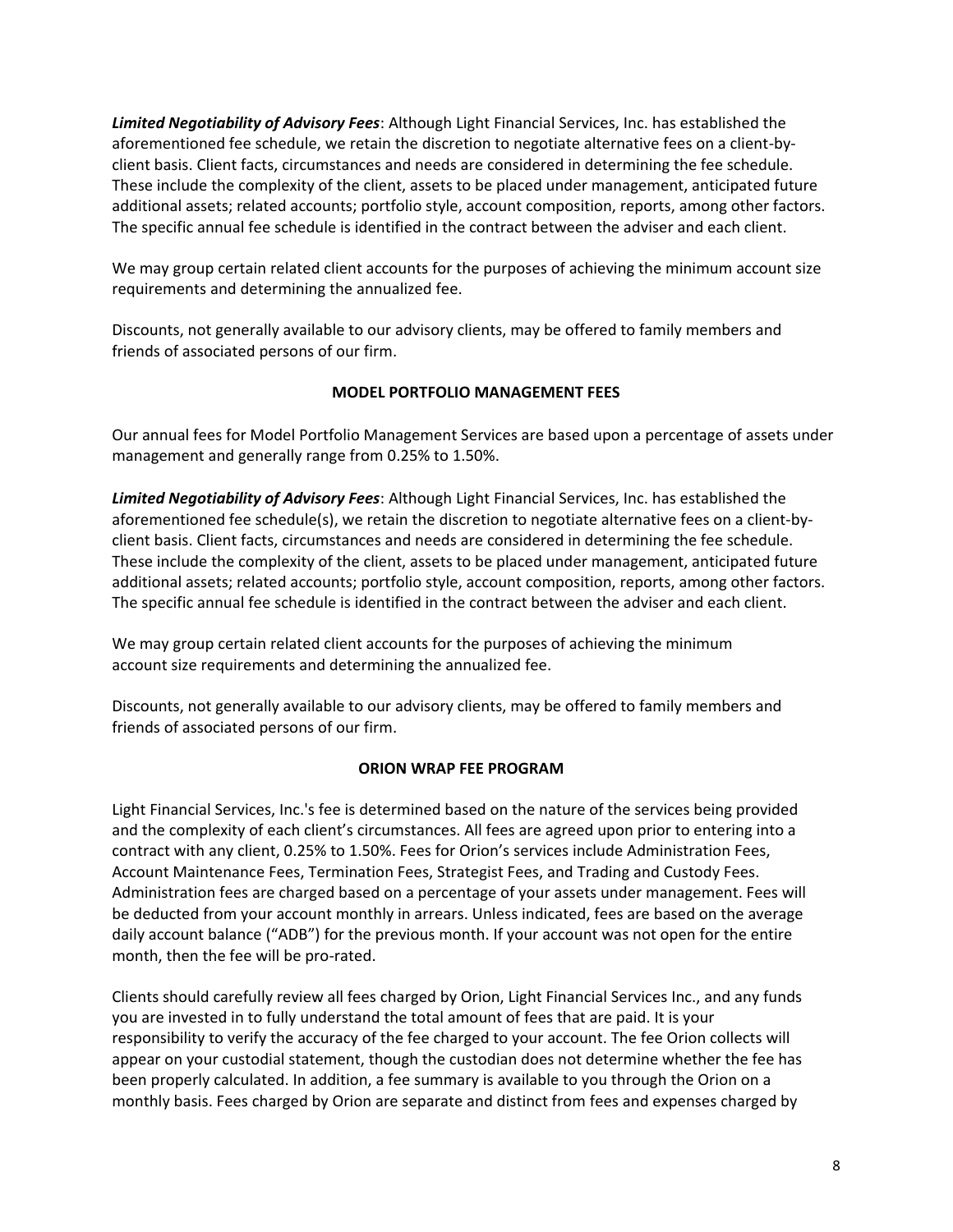*Limited Negotiability of Advisory Fees*: Although Light Financial Services, Inc. has established the aforementioned fee schedule, we retain the discretion to negotiate alternative fees on a client-byclient basis. Client facts, circumstances and needs are considered in determining the fee schedule. These include the complexity of the client, assets to be placed under management, anticipated future additional assets; related accounts; portfolio style, account composition, reports, among other factors. The specific annual fee schedule is identified in the contract between the adviser and each client.

We may group certain related client accounts for the purposes of achieving the minimum account size requirements and determining the annualized fee.

Discounts, not generally available to our advisory clients, may be offered to family members and friends of associated persons of our firm.

# **MODEL PORTFOLIO MANAGEMENT FEES**

Our annual fees for Model Portfolio Management Services are based upon a percentage of assets under management and generally range from 0.25% to 1.50%.

*Limited Negotiability of Advisory Fees*: Although Light Financial Services, Inc. has established the aforementioned fee schedule(s), we retain the discretion to negotiate alternative fees on a client-byclient basis. Client facts, circumstances and needs are considered in determining the fee schedule. These include the complexity of the client, assets to be placed under management, anticipated future additional assets; related accounts; portfolio style, account composition, reports, among other factors. The specific annual fee schedule is identified in the contract between the adviser and each client.

We may group certain related client accounts for the purposes of achieving the minimum account size requirements and determining the annualized fee.

Discounts, not generally available to our advisory clients, may be offered to family members and friends of associated persons of our firm.

## **ORION WRAP FEE PROGRAM**

Light Financial Services, Inc.'s fee is determined based on the nature of the services being provided and the complexity of each client's circumstances. All fees are agreed upon prior to entering into a contract with any client, 0.25% to 1.50%. Fees for Orion's services include Administration Fees, Account Maintenance Fees, Termination Fees, Strategist Fees, and Trading and Custody Fees. Administration fees are charged based on a percentage of your assets under management. Fees will be deducted from your account monthly in arrears. Unless indicated, fees are based on the average daily account balance ("ADB") for the previous month. If your account was not open for the entire month, then the fee will be pro-rated.

Clients should carefully review all fees charged by Orion, Light Financial Services Inc., and any funds you are invested in to fully understand the total amount of fees that are paid. It is your responsibility to verify the accuracy of the fee charged to your account. The fee Orion collects will appear on your custodial statement, though the custodian does not determine whether the fee has been properly calculated. In addition, a fee summary is available to you through the Orion on a monthly basis. Fees charged by Orion are separate and distinct from fees and expenses charged by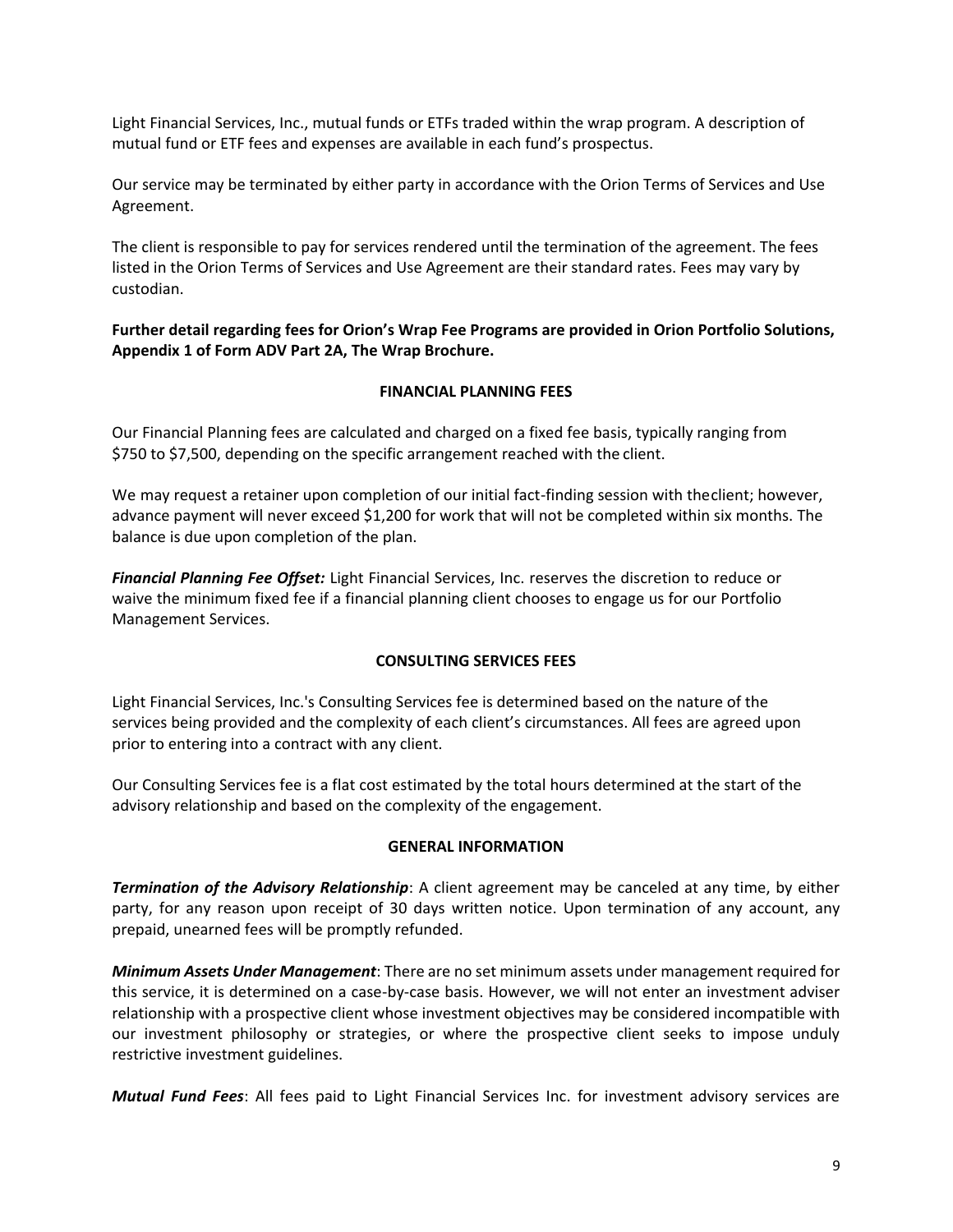Light Financial Services, Inc., mutual funds or ETFs traded within the wrap program. A description of mutual fund or ETF fees and expenses are available in each fund's prospectus.

Our service may be terminated by either party in accordance with the Orion Terms of Services and Use Agreement.

The client is responsible to pay for services rendered until the termination of the agreement. The fees listed in the Orion Terms of Services and Use Agreement are their standard rates. Fees may vary by custodian.

**Further detail regarding fees for Orion's Wrap Fee Programs are provided in Orion Portfolio Solutions, Appendix 1 of Form ADV Part 2A, The Wrap Brochure.**

# **FINANCIAL PLANNING FEES**

Our Financial Planning fees are calculated and charged on a fixed fee basis, typically ranging from \$750 to \$7,500, depending on the specific arrangement reached with the client.

We may request a retainer upon completion of our initial fact-finding session with theclient; however, advance payment will never exceed \$1,200 for work that will not be completed within six months. The balance is due upon completion of the plan.

*Financial Planning Fee Offset:* Light Financial Services, Inc. reserves the discretion to reduce or waive the minimum fixed fee if a financial planning client chooses to engage us for our Portfolio Management Services.

## **CONSULTING SERVICES FEES**

Light Financial Services, Inc.'s Consulting Services fee is determined based on the nature of the services being provided and the complexity of each client's circumstances. All fees are agreed upon prior to entering into a contract with any client.

Our Consulting Services fee is a flat cost estimated by the total hours determined at the start of the advisory relationship and based on the complexity of the engagement.

## **GENERAL INFORMATION**

*Termination of the Advisory Relationship*: A client agreement may be canceled at any time, by either party, for any reason upon receipt of 30 days written notice. Upon termination of any account, any prepaid, unearned fees will be promptly refunded.

*Minimum Assets Under Management*: There are no set minimum assets under management required for this service, it is determined on a case-by-case basis. However, we will not enter an investment adviser relationship with a prospective client whose investment objectives may be considered incompatible with our investment philosophy or strategies, or where the prospective client seeks to impose unduly restrictive investment guidelines.

*Mutual Fund Fees*: All fees paid to Light Financial Services Inc. for investment advisory services are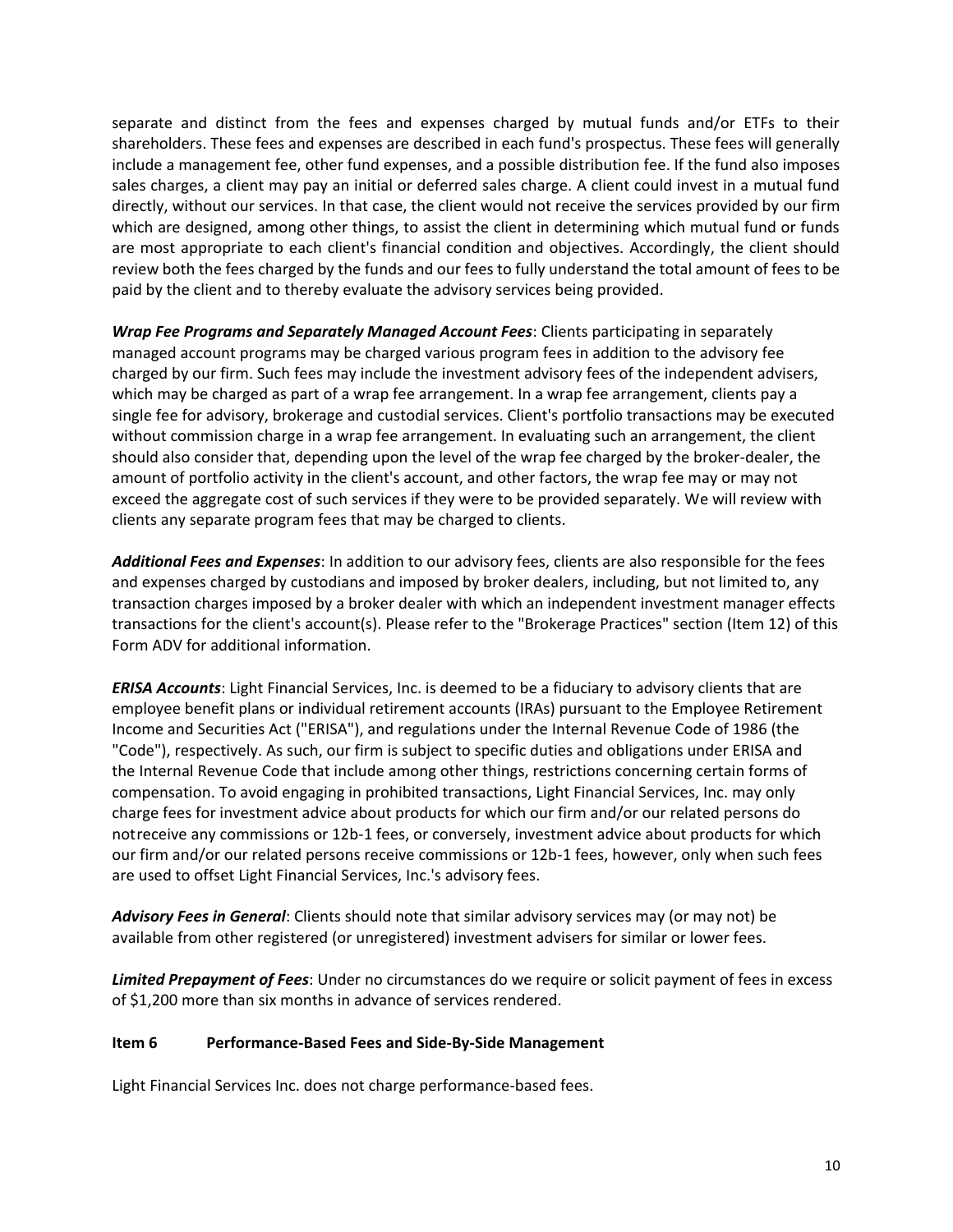separate and distinct from the fees and expenses charged by mutual funds and/or ETFs to their shareholders. These fees and expenses are described in each fund's prospectus. These fees will generally include a management fee, other fund expenses, and a possible distribution fee. If the fund also imposes sales charges, a client may pay an initial or deferred sales charge. A client could invest in a mutual fund directly, without our services. In that case, the client would not receive the services provided by our firm which are designed, among other things, to assist the client in determining which mutual fund or funds are most appropriate to each client's financial condition and objectives. Accordingly, the client should review both the fees charged by the funds and our fees to fully understand the total amount of fees to be paid by the client and to thereby evaluate the advisory services being provided.

*Wrap Fee Programs and Separately Managed Account Fees*: Clients participating in separately managed account programs may be charged various program fees in addition to the advisory fee charged by our firm. Such fees may include the investment advisory fees of the independent advisers, which may be charged as part of a wrap fee arrangement. In a wrap fee arrangement, clients pay a single fee for advisory, brokerage and custodial services. Client's portfolio transactions may be executed without commission charge in a wrap fee arrangement. In evaluating such an arrangement, the client should also consider that, depending upon the level of the wrap fee charged by the broker-dealer, the amount of portfolio activity in the client's account, and other factors, the wrap fee may or may not exceed the aggregate cost of such services if they were to be provided separately. We will review with clients any separate program fees that may be charged to clients.

*Additional Fees and Expenses*: In addition to our advisory fees, clients are also responsible for the fees and expenses charged by custodians and imposed by broker dealers, including, but not limited to, any transaction charges imposed by a broker dealer with which an independent investment manager effects transactions for the client's account(s). Please refer to the "Brokerage Practices" section (Item 12) of this Form ADV for additional information.

*ERISA Accounts*: Light Financial Services, Inc. is deemed to be a fiduciary to advisory clients that are employee benefit plans or individual retirement accounts (IRAs) pursuant to the Employee Retirement Income and Securities Act ("ERISA"), and regulations under the Internal Revenue Code of 1986 (the "Code"), respectively. As such, our firm is subject to specific duties and obligations under ERISA and the Internal Revenue Code that include among other things, restrictions concerning certain forms of compensation. To avoid engaging in prohibited transactions, Light Financial Services, Inc. may only charge fees for investment advice about products for which our firm and/or our related persons do notreceive any commissions or 12b-1 fees, or conversely, investment advice about products for which our firm and/or our related persons receive commissions or 12b-1 fees, however, only when such fees are used to offset Light Financial Services, Inc.'s advisory fees.

*Advisory Fees in General*: Clients should note that similar advisory services may (or may not) be available from other registered (or unregistered) investment advisers for similar or lower fees.

*Limited Prepayment of Fees*: Under no circumstances do we require or solicit payment of fees in excess of \$1,200 more than six months in advance of services rendered.

## <span id="page-9-0"></span>**Item 6 Performance-Based Fees and Side-By-Side Management**

Light Financial Services Inc. does not charge performance-based fees.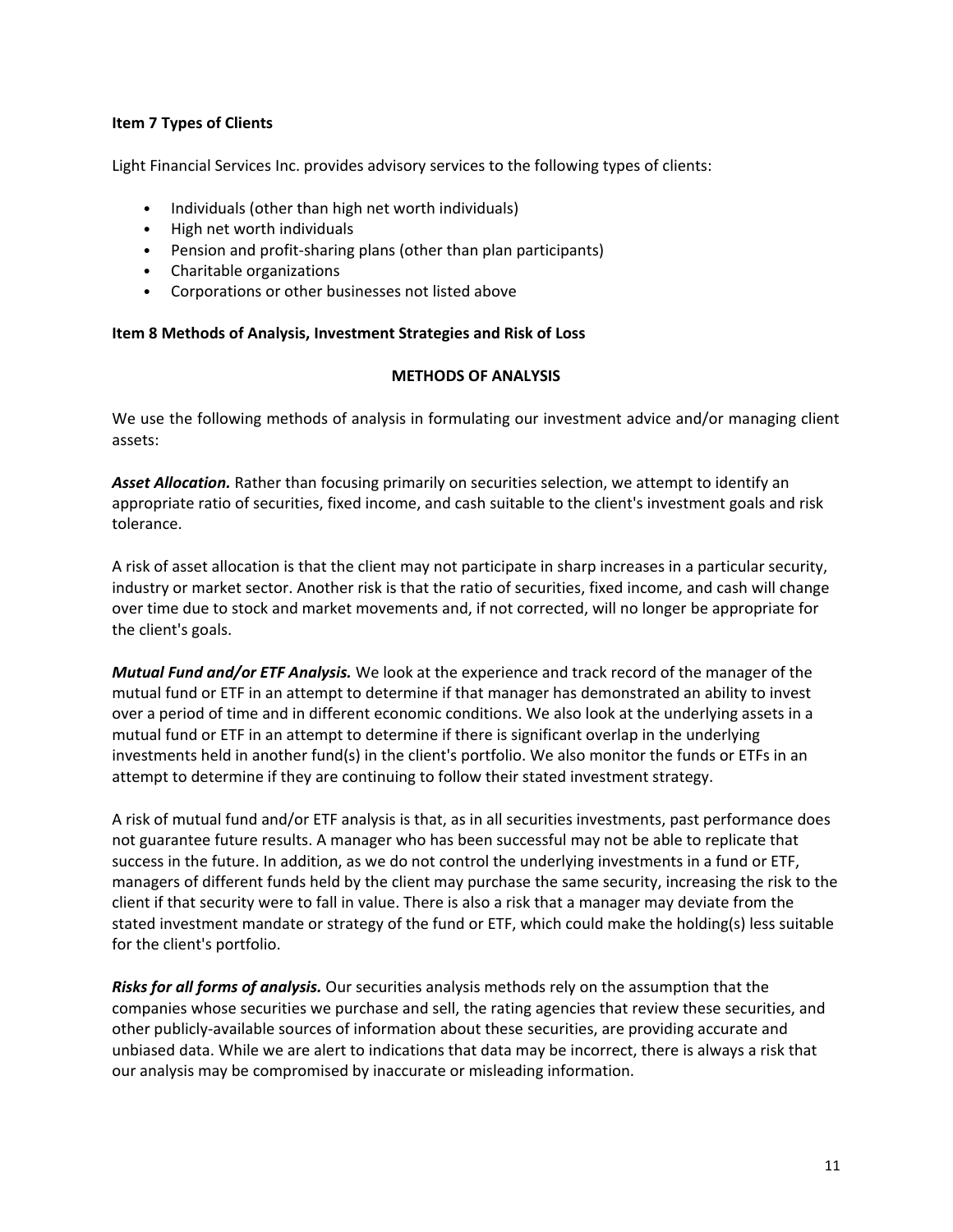## <span id="page-10-0"></span>**Item 7 Types of Clients**

Light Financial Services Inc. provides advisory services to the following types of clients:

- Individuals (other than high net worth individuals)
- High net worth individuals
- Pension and profit-sharing plans (other than plan participants)
- Charitable organizations
- Corporations or other businesses not listed above

#### <span id="page-10-1"></span>**Item 8 Methods of Analysis, Investment Strategies and Risk of Loss**

#### **METHODS OF ANALYSIS**

We use the following methods of analysis in formulating our investment advice and/or managing client assets:

*Asset Allocation.* Rather than focusing primarily on securities selection, we attempt to identify an appropriate ratio of securities, fixed income, and cash suitable to the client's investment goals and risk tolerance.

A risk of asset allocation is that the client may not participate in sharp increases in a particular security, industry or market sector. Another risk is that the ratio of securities, fixed income, and cash will change over time due to stock and market movements and, if not corrected, will no longer be appropriate for the client's goals.

*Mutual Fund and/or ETF Analysis.* We look at the experience and track record of the manager of the mutual fund or ETF in an attempt to determine if that manager has demonstrated an ability to invest over a period of time and in different economic conditions. We also look at the underlying assets in a mutual fund or ETF in an attempt to determine if there is significant overlap in the underlying investments held in another fund(s) in the client's portfolio. We also monitor the funds or ETFs in an attempt to determine if they are continuing to follow their stated investment strategy.

A risk of mutual fund and/or ETF analysis is that, as in all securities investments, past performance does not guarantee future results. A manager who has been successful may not be able to replicate that success in the future. In addition, as we do not control the underlying investments in a fund or ETF, managers of different funds held by the client may purchase the same security, increasing the risk to the client if that security were to fall in value. There is also a risk that a manager may deviate from the stated investment mandate or strategy of the fund or ETF, which could make the holding(s) less suitable for the client's portfolio.

*Risks for all forms of analysis.* Our securities analysis methods rely on the assumption that the companies whose securities we purchase and sell, the rating agencies that review these securities, and other publicly-available sources of information about these securities, are providing accurate and unbiased data. While we are alert to indications that data may be incorrect, there is always a risk that our analysis may be compromised by inaccurate or misleading information.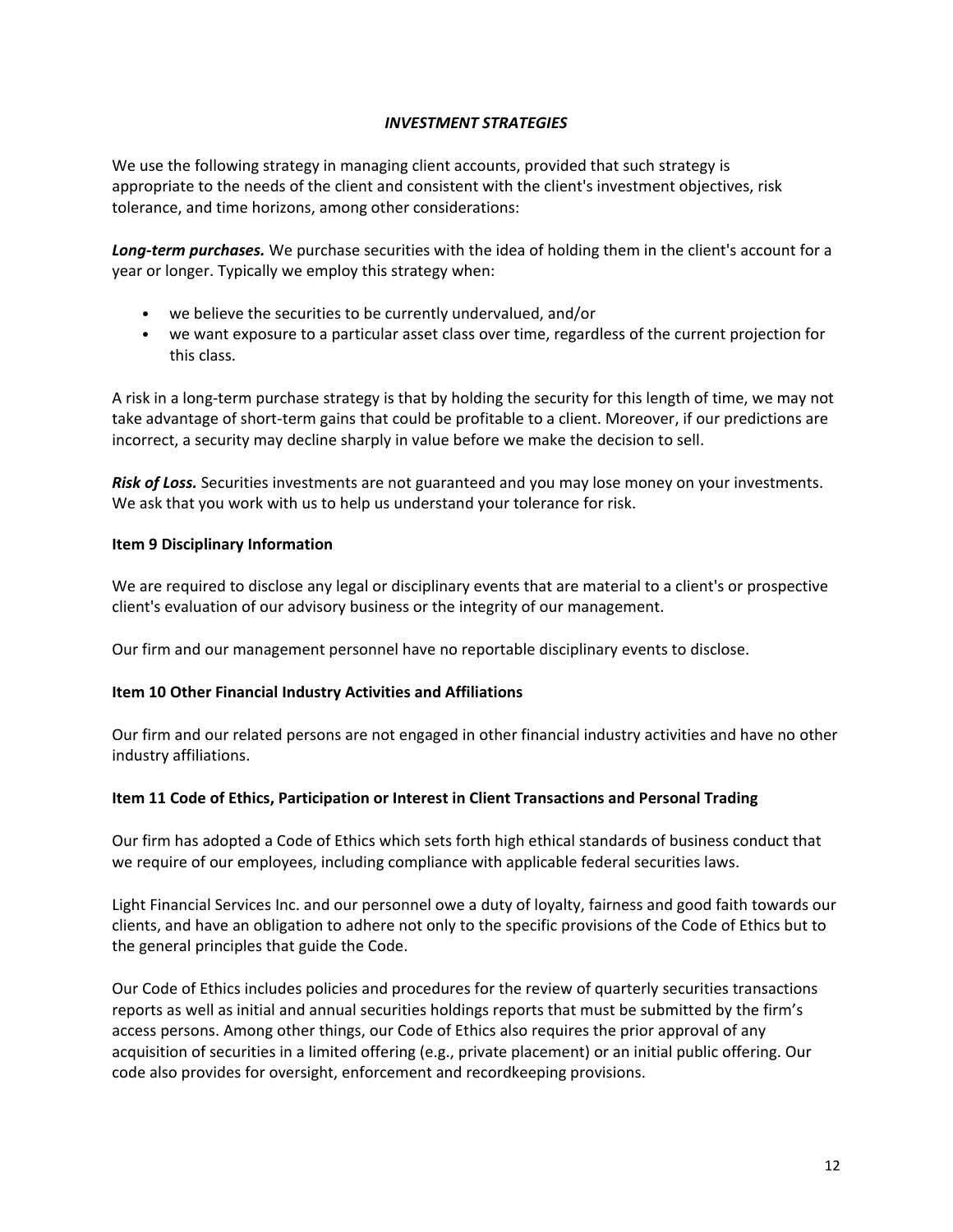# *INVESTMENT STRATEGIES*

We use the following strategy in managing client accounts, provided that such strategy is appropriate to the needs of the client and consistent with the client's investment objectives, risk tolerance, and time horizons, among other considerations:

*Long-term purchases.* We purchase securities with the idea of holding them in the client's account for a year or longer. Typically we employ this strategy when:

- we believe the securities to be currently undervalued, and/or
- we want exposure to a particular asset class over time, regardless of the current projection for this class.

A risk in a long-term purchase strategy is that by holding the security for this length of time, we may not take advantage of short-term gains that could be profitable to a client. Moreover, if our predictions are incorrect, a security may decline sharply in value before we make the decision to sell.

*Risk of Loss.* Securities investments are not guaranteed and you may lose money on your investments. We ask that you work with us to help us understand your tolerance for risk.

#### <span id="page-11-0"></span>**Item 9 Disciplinary Information**

We are required to disclose any legal or disciplinary events that are material to a client's or prospective client's evaluation of our advisory business or the integrity of our management.

Our firm and our management personnel have no reportable disciplinary events to disclose.

## <span id="page-11-1"></span>**Item 10 Other Financial Industry Activities and Affiliations**

Our firm and our related persons are not engaged in other financial industry activities and have no other industry affiliations.

#### <span id="page-11-2"></span>**Item 11 Code of Ethics, Participation or Interest in Client Transactions and Personal Trading**

Our firm has adopted a Code of Ethics which sets forth high ethical standards of business conduct that we require of our employees, including compliance with applicable federal securities laws.

Light Financial Services Inc. and our personnel owe a duty of loyalty, fairness and good faith towards our clients, and have an obligation to adhere not only to the specific provisions of the Code of Ethics but to the general principles that guide the Code.

Our Code of Ethics includes policies and procedures for the review of quarterly securities transactions reports as well as initial and annual securities holdings reports that must be submitted by the firm's access persons. Among other things, our Code of Ethics also requires the prior approval of any acquisition of securities in a limited offering (e.g., private placement) or an initial public offering. Our code also provides for oversight, enforcement and recordkeeping provisions.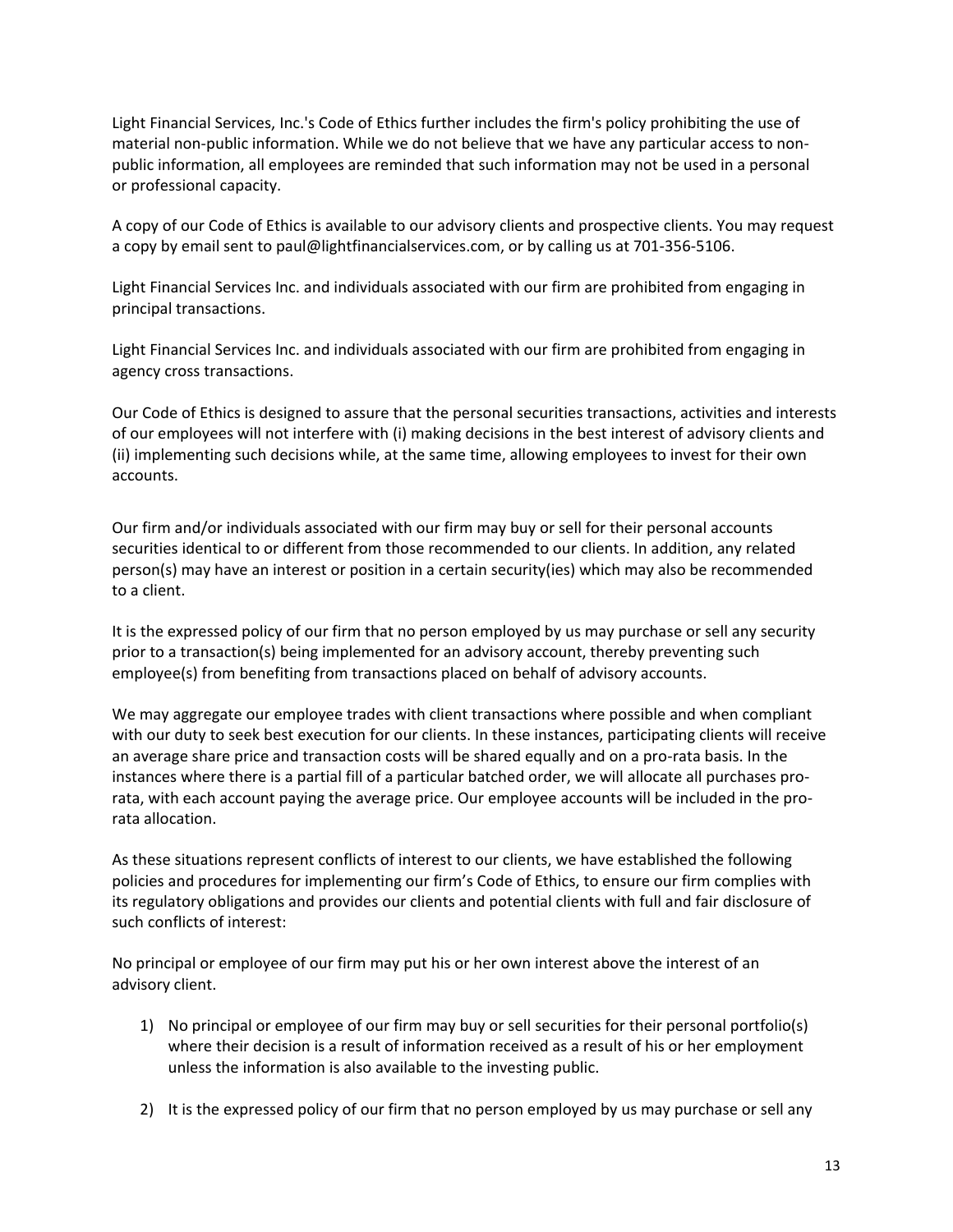Light Financial Services, Inc.'s Code of Ethics further includes the firm's policy prohibiting the use of material non-public information. While we do not believe that we have any particular access to nonpublic information, all employees are reminded that such information may not be used in a personal or professional capacity.

A copy of our Code of Ethics is available to our advisory clients and prospective clients. You may request a copy by email sent to [paul@lightfinancialservices.com,](mailto:paul@lightfinancialservices.com) or by calling us at 701-356-5106.

Light Financial Services Inc. and individuals associated with our firm are prohibited from engaging in principal transactions.

Light Financial Services Inc. and individuals associated with our firm are prohibited from engaging in agency cross transactions.

Our Code of Ethics is designed to assure that the personal securities transactions, activities and interests of our employees will not interfere with (i) making decisions in the best interest of advisory clients and (ii) implementing such decisions while, at the same time, allowing employees to invest for their own accounts.

Our firm and/or individuals associated with our firm may buy or sell for their personal accounts securities identical to or different from those recommended to our clients. In addition, any related person(s) may have an interest or position in a certain security(ies) which may also be recommended to a client.

It is the expressed policy of our firm that no person employed by us may purchase or sell any security prior to a transaction(s) being implemented for an advisory account, thereby preventing such employee(s) from benefiting from transactions placed on behalf of advisory accounts.

We may aggregate our employee trades with client transactions where possible and when compliant with our duty to seek best execution for our clients. In these instances, participating clients will receive an average share price and transaction costs will be shared equally and on a pro-rata basis. In the instances where there is a partial fill of a particular batched order, we will allocate all purchases prorata, with each account paying the average price. Our employee accounts will be included in the prorata allocation.

As these situations represent conflicts of interest to our clients, we have established the following policies and procedures for implementing our firm's Code of Ethics, to ensure our firm complies with its regulatory obligations and provides our clients and potential clients with full and fair disclosure of such conflicts of interest:

No principal or employee of our firm may put his or her own interest above the interest of an advisory client.

- 1) No principal or employee of our firm may buy or sell securities for their personal portfolio(s) where their decision is a result of information received as a result of his or her employment unless the information is also available to the investing public.
- 2) It is the expressed policy of our firm that no person employed by us may purchase or sell any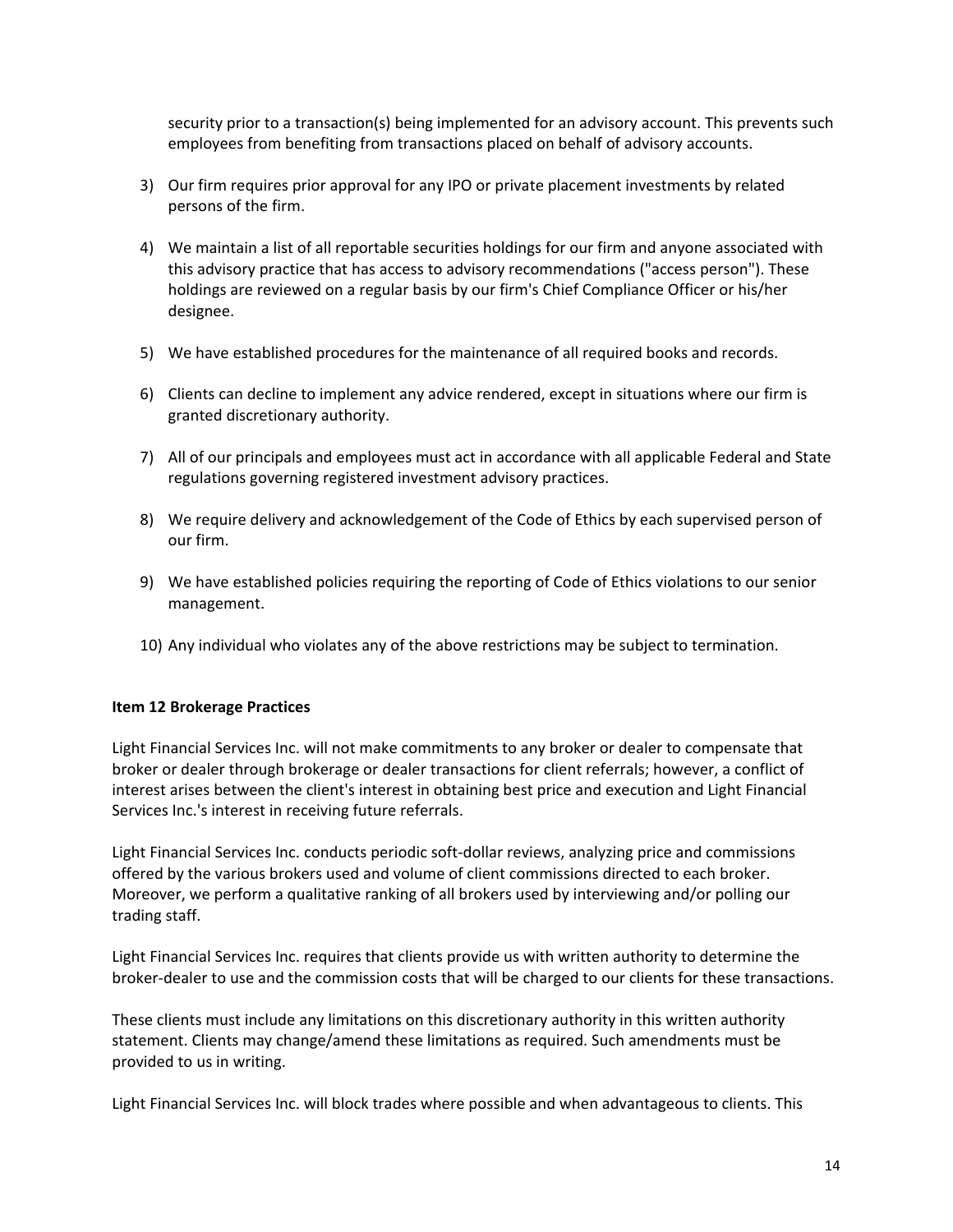security prior to a transaction(s) being implemented for an advisory account. This prevents such employees from benefiting from transactions placed on behalf of advisory accounts.

- 3) Our firm requires prior approval for any IPO or private placement investments by related persons of the firm.
- 4) We maintain a list of all reportable securities holdings for our firm and anyone associated with this advisory practice that has access to advisory recommendations ("access person"). These holdings are reviewed on a regular basis by our firm's Chief Compliance Officer or his/her designee.
- 5) We have established procedures for the maintenance of all required books and records.
- 6) Clients can decline to implement any advice rendered, except in situations where our firm is granted discretionary authority.
- 7) All of our principals and employees must act in accordance with all applicable Federal and State regulations governing registered investment advisory practices.
- 8) We require delivery and acknowledgement of the Code of Ethics by each supervised person of our firm.
- 9) We have established policies requiring the reporting of Code of Ethics violations to our senior management.
- 10) Any individual who violates any of the above restrictions may be subject to termination.

## <span id="page-13-0"></span>**Item 12 Brokerage Practices**

Light Financial Services Inc. will not make commitments to any broker or dealer to compensate that broker or dealer through brokerage or dealer transactions for client referrals; however, a conflict of interest arises between the client's interest in obtaining best price and execution and Light Financial Services Inc.'s interest in receiving future referrals.

Light Financial Services Inc. conducts periodic soft-dollar reviews, analyzing price and commissions offered by the various brokers used and volume of client commissions directed to each broker. Moreover, we perform a qualitative ranking of all brokers used by interviewing and/or polling our trading staff.

Light Financial Services Inc. requires that clients provide us with written authority to determine the broker-dealer to use and the commission costs that will be charged to our clients for these transactions.

These clients must include any limitations on this discretionary authority in this written authority statement. Clients may change/amend these limitations as required. Such amendments must be provided to us in writing.

Light Financial Services Inc. will block trades where possible and when advantageous to clients. This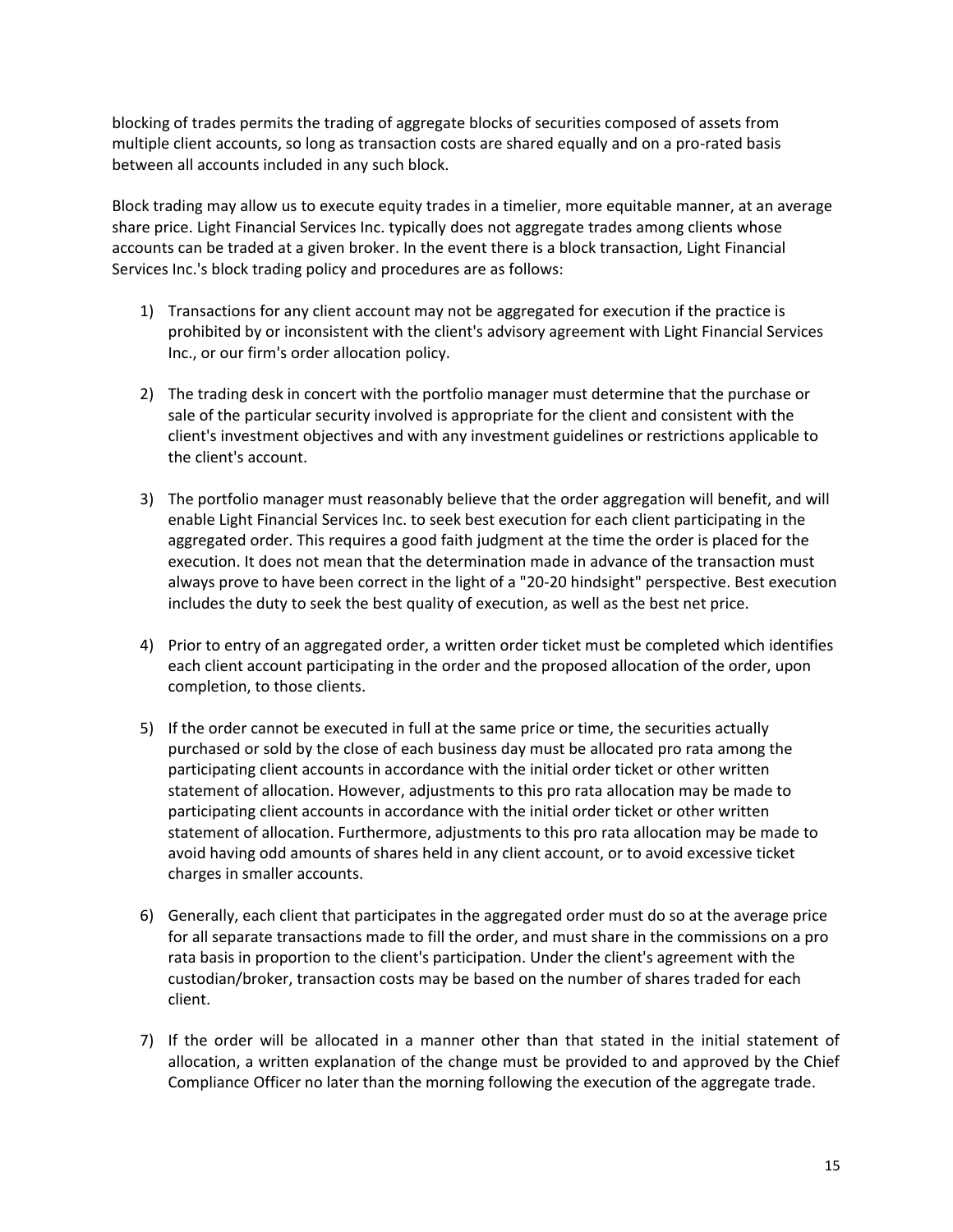blocking of trades permits the trading of aggregate blocks of securities composed of assets from multiple client accounts, so long as transaction costs are shared equally and on a pro-rated basis between all accounts included in any such block.

Block trading may allow us to execute equity trades in a timelier, more equitable manner, at an average share price. Light Financial Services Inc. typically does not aggregate trades among clients whose accounts can be traded at a given broker. In the event there is a block transaction, Light Financial Services Inc.'s block trading policy and procedures are as follows:

- 1) Transactions for any client account may not be aggregated for execution if the practice is prohibited by or inconsistent with the client's advisory agreement with Light Financial Services Inc., or our firm's order allocation policy.
- 2) The trading desk in concert with the portfolio manager must determine that the purchase or sale of the particular security involved is appropriate for the client and consistent with the client's investment objectives and with any investment guidelines or restrictions applicable to the client's account.
- 3) The portfolio manager must reasonably believe that the order aggregation will benefit, and will enable Light Financial Services Inc. to seek best execution for each client participating in the aggregated order. This requires a good faith judgment at the time the order is placed for the execution. It does not mean that the determination made in advance of the transaction must always prove to have been correct in the light of a "20-20 hindsight" perspective. Best execution includes the duty to seek the best quality of execution, as well as the best net price.
- 4) Prior to entry of an aggregated order, a written order ticket must be completed which identifies each client account participating in the order and the proposed allocation of the order, upon completion, to those clients.
- 5) If the order cannot be executed in full at the same price or time, the securities actually purchased or sold by the close of each business day must be allocated pro rata among the participating client accounts in accordance with the initial order ticket or other written statement of allocation. However, adjustments to this pro rata allocation may be made to participating client accounts in accordance with the initial order ticket or other written statement of allocation. Furthermore, adjustments to this pro rata allocation may be made to avoid having odd amounts of shares held in any client account, or to avoid excessive ticket charges in smaller accounts.
- 6) Generally, each client that participates in the aggregated order must do so at the average price for all separate transactions made to fill the order, and must share in the commissions on a pro rata basis in proportion to the client's participation. Under the client's agreement with the custodian/broker, transaction costs may be based on the number of shares traded for each client.
- 7) If the order will be allocated in a manner other than that stated in the initial statement of allocation, a written explanation of the change must be provided to and approved by the Chief Compliance Officer no later than the morning following the execution of the aggregate trade.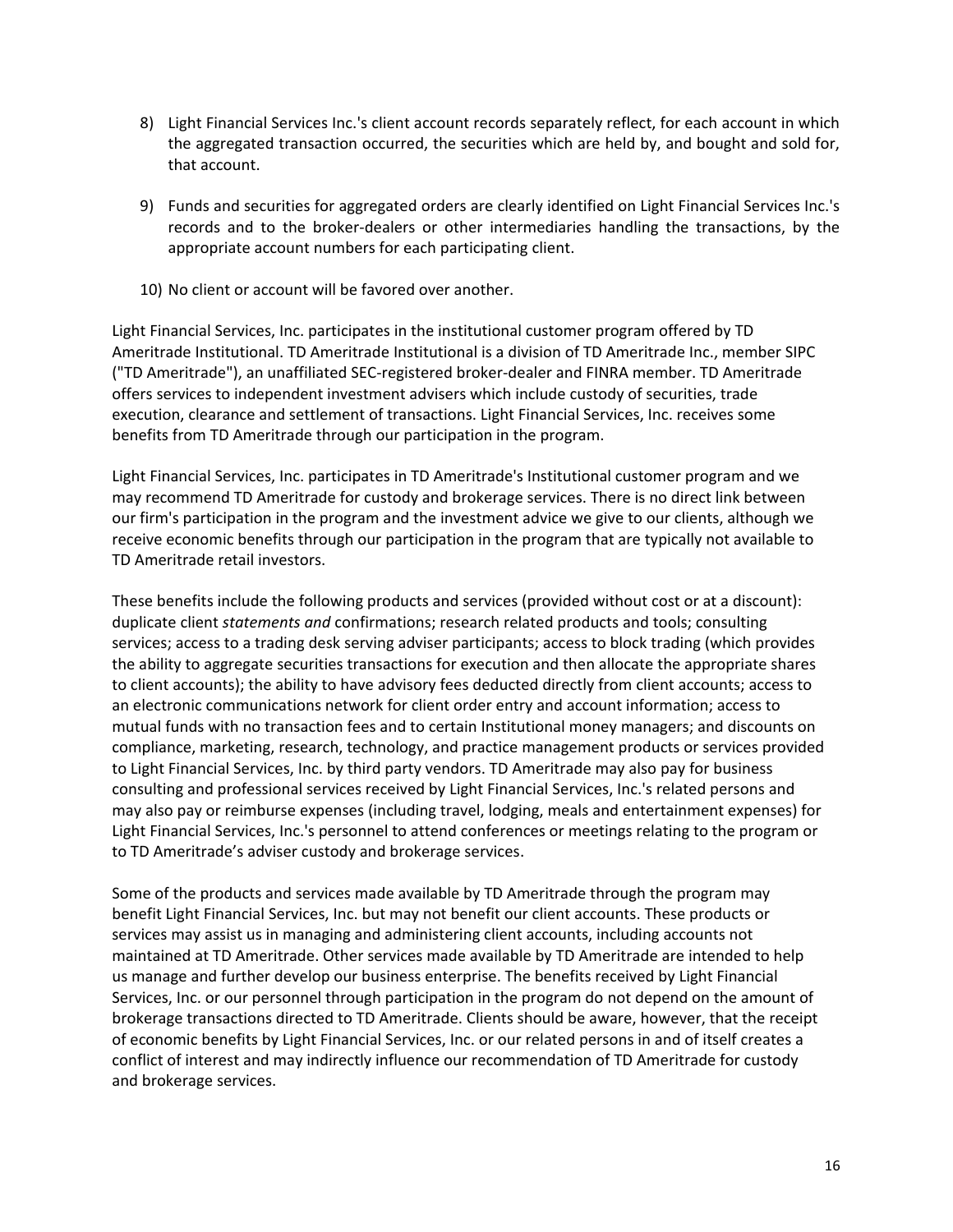- 8) Light Financial Services Inc.'s client account records separately reflect, for each account in which the aggregated transaction occurred, the securities which are held by, and bought and sold for, that account.
- 9) Funds and securities for aggregated orders are clearly identified on Light Financial Services Inc.'s records and to the broker-dealers or other intermediaries handling the transactions, by the appropriate account numbers for each participating client.
- 10) No client or account will be favored over another.

Light Financial Services, Inc. participates in the institutional customer program offered by TD Ameritrade Institutional. TD Ameritrade Institutional is a division of TD Ameritrade Inc., member SIPC ("TD Ameritrade"), an unaffiliated SEC-registered broker-dealer and FINRA member. TD Ameritrade offers services to independent investment advisers which include custody of securities, trade execution, clearance and settlement of transactions. Light Financial Services, Inc. receives some benefits from TD Ameritrade through our participation in the program.

Light Financial Services, Inc. participates in TD Ameritrade's Institutional customer program and we may recommend TD Ameritrade for custody and brokerage services. There is no direct link between our firm's participation in the program and the investment advice we give to our clients, although we receive economic benefits through our participation in the program that are typically not available to TD Ameritrade retail investors.

These benefits include the following products and services (provided without cost or at a discount): duplicate client *statements and* confirmations; research related products and tools; consulting services; access to a trading desk serving adviser participants; access to block trading (which provides the ability to aggregate securities transactions for execution and then allocate the appropriate shares to client accounts); the ability to have advisory fees deducted directly from client accounts; access to an electronic communications network for client order entry and account information; access to mutual funds with no transaction fees and to certain Institutional money managers; and discounts on compliance, marketing, research, technology, and practice management products or services provided to Light Financial Services, Inc. by third party vendors. TD Ameritrade may also pay for business consulting and professional services received by Light Financial Services, Inc.'s related persons and may also pay or reimburse expenses (including travel, lodging, meals and entertainment expenses) for Light Financial Services, Inc.'s personnel to attend conferences or meetings relating to the program or to TD Ameritrade's adviser custody and brokerage services.

Some of the products and services made available by TD Ameritrade through the program may benefit Light Financial Services, Inc. but may not benefit our client accounts. These products or services may assist us in managing and administering client accounts, including accounts not maintained at TD Ameritrade. Other services made available by TD Ameritrade are intended to help us manage and further develop our business enterprise. The benefits received by Light Financial Services, Inc. or our personnel through participation in the program do not depend on the amount of brokerage transactions directed to TD Ameritrade. Clients should be aware, however, that the receipt of economic benefits by Light Financial Services, Inc. or our related persons in and of itself creates a conflict of interest and may indirectly influence our recommendation of TD Ameritrade for custody and brokerage services.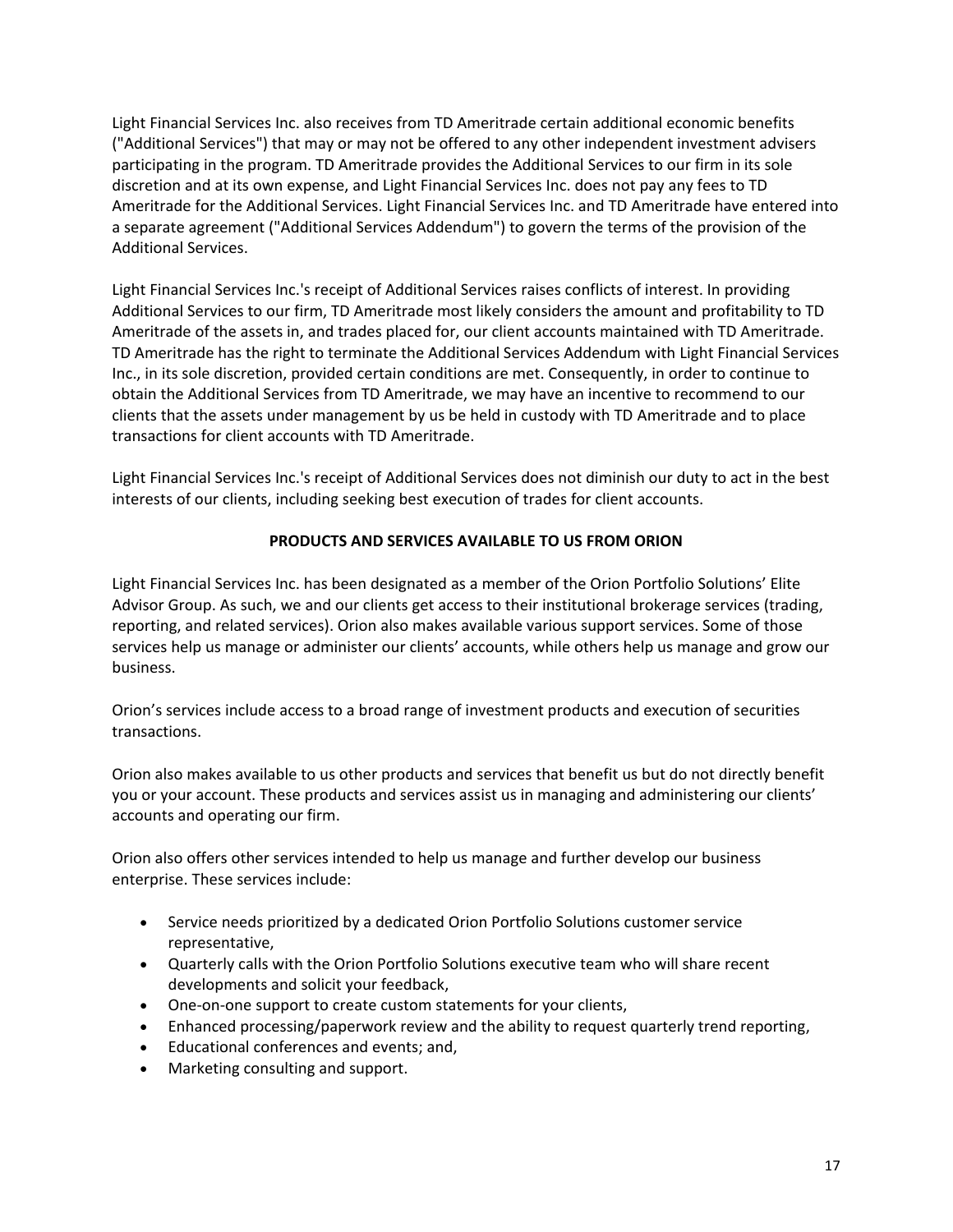Light Financial Services Inc. also receives from TD Ameritrade certain additional economic benefits ("Additional Services") that may or may not be offered to any other independent investment advisers participating in the program. TD Ameritrade provides the Additional Services to our firm in its sole discretion and at its own expense, and Light Financial Services Inc. does not pay any fees to TD Ameritrade for the Additional Services. Light Financial Services Inc. and TD Ameritrade have entered into a separate agreement ("Additional Services Addendum") to govern the terms of the provision of the Additional Services.

Light Financial Services Inc.'s receipt of Additional Services raises conflicts of interest. In providing Additional Services to our firm, TD Ameritrade most likely considers the amount and profitability to TD Ameritrade of the assets in, and trades placed for, our client accounts maintained with TD Ameritrade. TD Ameritrade has the right to terminate the Additional Services Addendum with Light Financial Services Inc., in its sole discretion, provided certain conditions are met. Consequently, in order to continue to obtain the Additional Services from TD Ameritrade, we may have an incentive to recommend to our clients that the assets under management by us be held in custody with TD Ameritrade and to place transactions for client accounts with TD Ameritrade.

Light Financial Services Inc.'s receipt of Additional Services does not diminish our duty to act in the best interests of our clients, including seeking best execution of trades for client accounts.

# **PRODUCTS AND SERVICES AVAILABLE TO US FROM ORION**

Light Financial Services Inc. has been designated as a member of the Orion Portfolio Solutions' Elite Advisor Group. As such, we and our clients get access to their institutional brokerage services (trading, reporting, and related services). Orion also makes available various support services. Some of those services help us manage or administer our clients' accounts, while others help us manage and grow our business.

Orion's services include access to a broad range of investment products and execution of securities transactions.

Orion also makes available to us other products and services that benefit us but do not directly benefit you or your account. These products and services assist us in managing and administering our clients' accounts and operating our firm.

Orion also offers other services intended to help us manage and further develop our business enterprise. These services include:

- Service needs prioritized by a dedicated Orion Portfolio Solutions customer service representative,
- Quarterly calls with the Orion Portfolio Solutions executive team who will share recent developments and solicit your feedback,
- One-on-one support to create custom statements for your clients,
- Enhanced processing/paperwork review and the ability to request quarterly trend reporting,
- Educational conferences and events; and,
- Marketing consulting and support.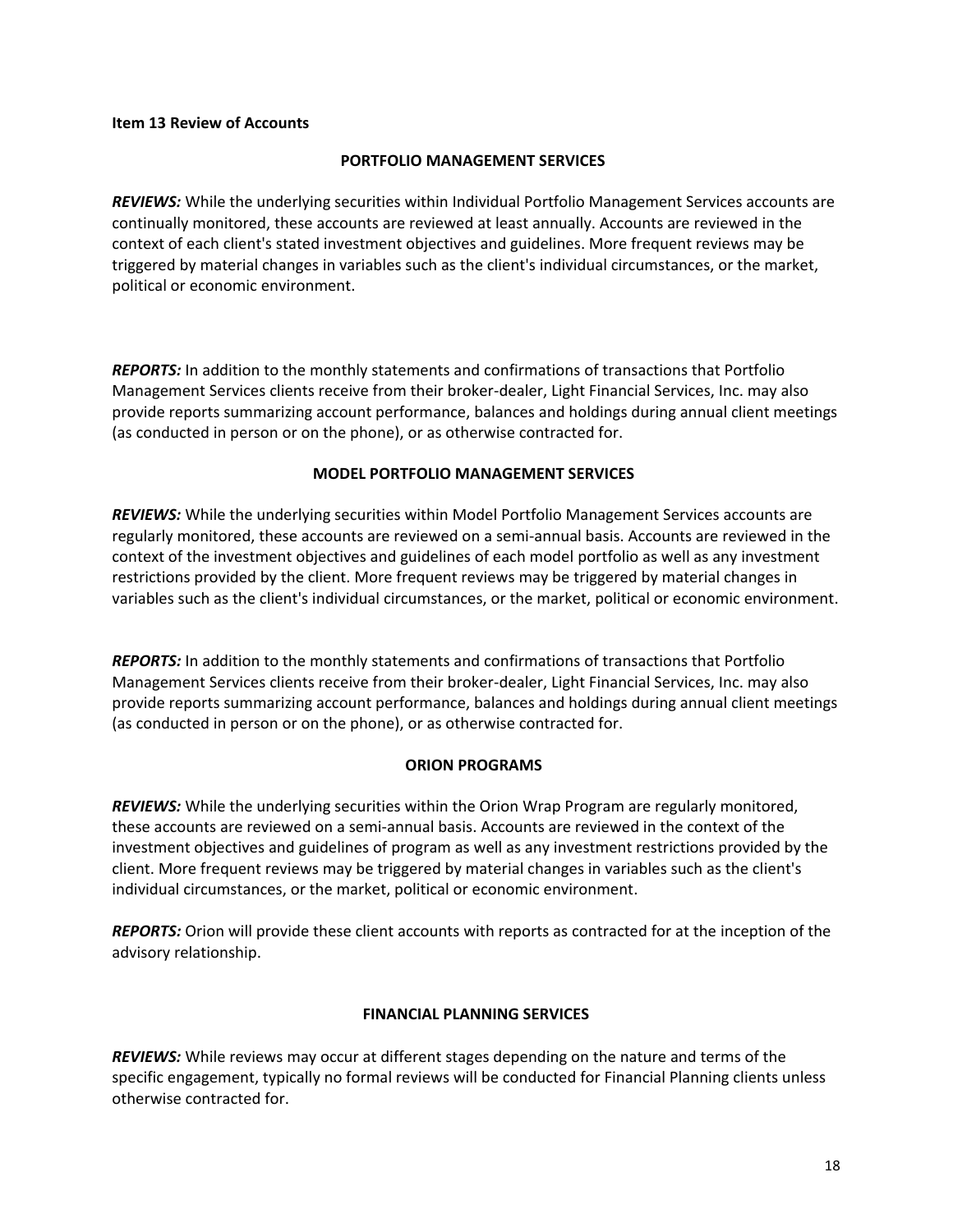#### <span id="page-17-0"></span>**Item 13 Review of Accounts**

#### **PORTFOLIO MANAGEMENT SERVICES**

*REVIEWS:* While the underlying securities within Individual Portfolio Management Services accounts are continually monitored, these accounts are reviewed at least annually. Accounts are reviewed in the context of each client's stated investment objectives and guidelines. More frequent reviews may be triggered by material changes in variables such as the client's individual circumstances, or the market, political or economic environment.

*REPORTS:* In addition to the monthly statements and confirmations of transactions that Portfolio Management Services clients receive from their broker-dealer, Light Financial Services, Inc. may also provide reports summarizing account performance, balances and holdings during annual client meetings (as conducted in person or on the phone), or as otherwise contracted for.

## **MODEL PORTFOLIO MANAGEMENT SERVICES**

*REVIEWS:* While the underlying securities within Model Portfolio Management Services accounts are regularly monitored, these accounts are reviewed on a semi-annual basis. Accounts are reviewed in the context of the investment objectives and guidelines of each model portfolio as well as any investment restrictions provided by the client. More frequent reviews may be triggered by material changes in variables such as the client's individual circumstances, or the market, political or economic environment.

*REPORTS:* In addition to the monthly statements and confirmations of transactions that Portfolio Management Services clients receive from their broker-dealer, Light Financial Services, Inc. may also provide reports summarizing account performance, balances and holdings during annual client meetings (as conducted in person or on the phone), or as otherwise contracted for.

## **ORION PROGRAMS**

*REVIEWS:* While the underlying securities within the Orion Wrap Program are regularly monitored, these accounts are reviewed on a semi-annual basis. Accounts are reviewed in the context of the investment objectives and guidelines of program as well as any investment restrictions provided by the client. More frequent reviews may be triggered by material changes in variables such as the client's individual circumstances, or the market, political or economic environment.

*REPORTS:* Orion will provide these client accounts with reports as contracted for at the inception of the advisory relationship.

## **FINANCIAL PLANNING SERVICES**

*REVIEWS:* While reviews may occur at different stages depending on the nature and terms of the specific engagement, typically no formal reviews will be conducted for Financial Planning clients unless otherwise contracted for.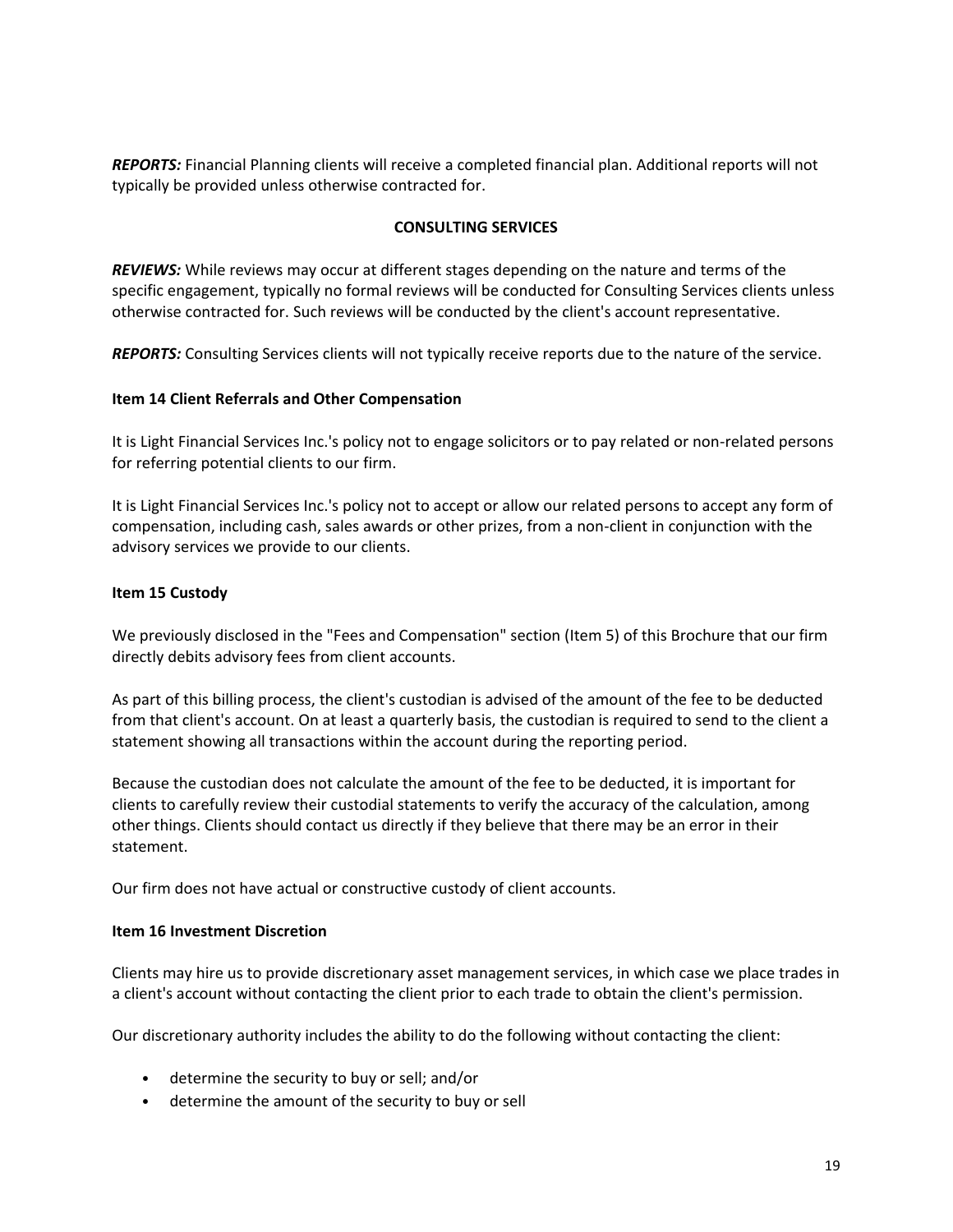*REPORTS:* Financial Planning clients will receive a completed financial plan. Additional reports will not typically be provided unless otherwise contracted for.

## **CONSULTING SERVICES**

*REVIEWS:* While reviews may occur at different stages depending on the nature and terms of the specific engagement, typically no formal reviews will be conducted for Consulting Services clients unless otherwise contracted for. Such reviews will be conducted by the client's account representative.

*REPORTS:* Consulting Services clients will not typically receive reports due to the nature of the service.

## <span id="page-18-0"></span>**Item 14 Client Referrals and Other Compensation**

It is Light Financial Services Inc.'s policy not to engage solicitors or to pay related or non-related persons for referring potential clients to our firm.

It is Light Financial Services Inc.'s policy not to accept or allow our related persons to accept any form of compensation, including cash, sales awards or other prizes, from a non-client in conjunction with the advisory services we provide to our clients.

# <span id="page-18-1"></span>**Item 15 Custody**

We previously disclosed in the "Fees and Compensation" section (Item 5) of this Brochure that our firm directly debits advisory fees from client accounts.

As part of this billing process, the client's custodian is advised of the amount of the fee to be deducted from that client's account. On at least a quarterly basis, the custodian is required to send to the client a statement showing all transactions within the account during the reporting period.

Because the custodian does not calculate the amount of the fee to be deducted, it is important for clients to carefully review their custodial statements to verify the accuracy of the calculation, among other things. Clients should contact us directly if they believe that there may be an error in their statement.

Our firm does not have actual or constructive custody of client accounts.

## <span id="page-18-2"></span>**Item 16 Investment Discretion**

Clients may hire us to provide discretionary asset management services, in which case we place trades in a client's account without contacting the client prior to each trade to obtain the client's permission.

Our discretionary authority includes the ability to do the following without contacting the client:

- determine the security to buy or sell; and/or
- determine the amount of the security to buy or sell